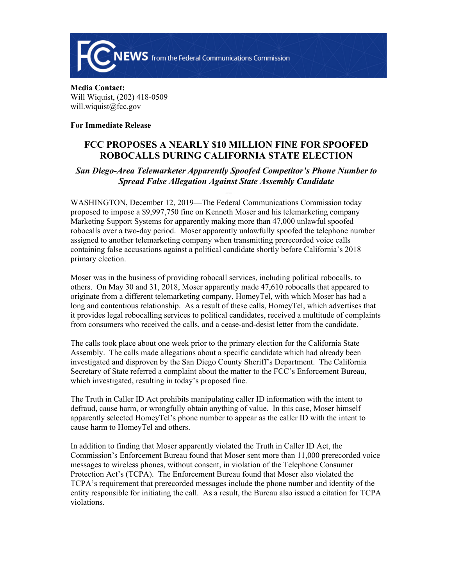

## **Media Contact:**  Will Wiquist, (202) 418-0509 will.wiquist@fcc.gov

## **For Immediate Release**

## **FCC PROPOSES A NEARLY \$10 MILLION FINE FOR SPOOFED ROBOCALLS DURING CALIFORNIA STATE ELECTION**

## *San Diego-Area Telemarketer Apparently Spoofed Competitor's Phone Number to Spread False Allegation Against State Assembly Candidate*

WASHINGTON, December 12, 2019—The Federal Communications Commission today proposed to impose a \$9,997,750 fine on Kenneth Moser and his telemarketing company Marketing Support Systems for apparently making more than 47,000 unlawful spoofed robocalls over a two-day period. Moser apparently unlawfully spoofed the telephone number assigned to another telemarketing company when transmitting prerecorded voice calls containing false accusations against a political candidate shortly before California's 2018 primary election.

Moser was in the business of providing robocall services, including political robocalls, to others. On May 30 and 31, 2018, Moser apparently made 47,610 robocalls that appeared to originate from a different telemarketing company, HomeyTel, with which Moser has had a long and contentious relationship. As a result of these calls, HomeyTel, which advertises that it provides legal robocalling services to political candidates, received a multitude of complaints from consumers who received the calls, and a cease-and-desist letter from the candidate.

The calls took place about one week prior to the primary election for the California State Assembly. The calls made allegations about a specific candidate which had already been investigated and disproven by the San Diego County Sheriff's Department. The California Secretary of State referred a complaint about the matter to the FCC's Enforcement Bureau, which investigated, resulting in today's proposed fine.

The Truth in Caller ID Act prohibits manipulating caller ID information with the intent to defraud, cause harm, or wrongfully obtain anything of value. In this case, Moser himself apparently selected HomeyTel's phone number to appear as the caller ID with the intent to cause harm to HomeyTel and others.

In addition to finding that Moser apparently violated the Truth in Caller ID Act, the Commission's Enforcement Bureau found that Moser sent more than 11,000 prerecorded voice messages to wireless phones, without consent, in violation of the Telephone Consumer Protection Act's (TCPA). The Enforcement Bureau found that Moser also violated the TCPA's requirement that prerecorded messages include the phone number and identity of the entity responsible for initiating the call. As a result, the Bureau also issued a citation for TCPA violations.